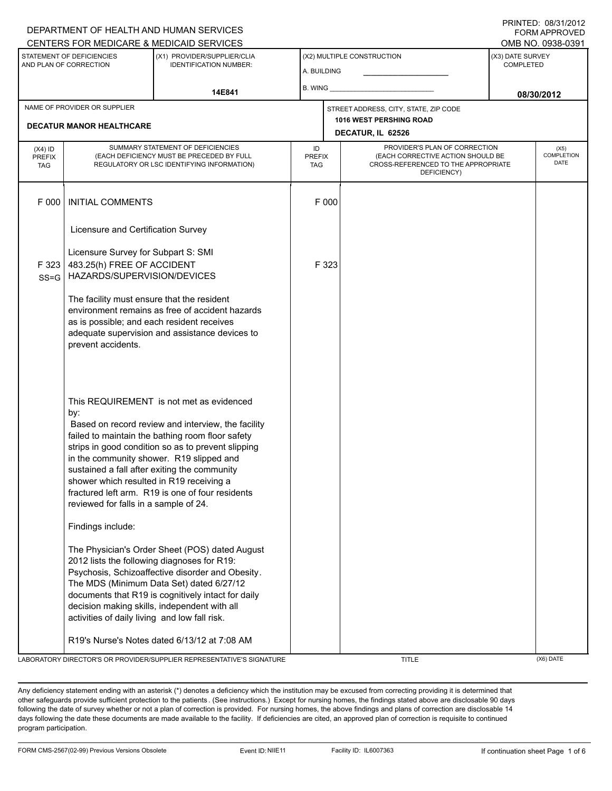### DEPARTMENT OF HEALTH AND HUMAN SERVICES CENTERS FOR MEDICARE & MEDICAID SERVICES OMB NO. 0938-0391

PRINTED: 08/31/2012 FORM APPROVED

| STATEMENT OF DEFICIENCIES<br>AND PLAN OF CORRECTION             |                                                                                                                                                | <u>ULIVILINU I UN MEDIUANE &amp; MEDIUAID ULIVIULU</u><br>(X1) PROVIDER/SUPPLIER/CLIA<br><b>IDENTIFICATION NUMBER:</b>                                                                                                                                                                                                                                   | A. BUILDING                |                                                                                       | (X2) MULTIPLE CONSTRUCTION                                                                                               | ו טטטיט. טטטער שוווט<br>(X3) DATE SURVEY<br>COMPLETED |                                   |  |
|-----------------------------------------------------------------|------------------------------------------------------------------------------------------------------------------------------------------------|----------------------------------------------------------------------------------------------------------------------------------------------------------------------------------------------------------------------------------------------------------------------------------------------------------------------------------------------------------|----------------------------|---------------------------------------------------------------------------------------|--------------------------------------------------------------------------------------------------------------------------|-------------------------------------------------------|-----------------------------------|--|
|                                                                 | 14E841                                                                                                                                         |                                                                                                                                                                                                                                                                                                                                                          |                            |                                                                                       |                                                                                                                          |                                                       | 08/30/2012                        |  |
| NAME OF PROVIDER OR SUPPLIER<br><b>DECATUR MANOR HEALTHCARE</b> |                                                                                                                                                |                                                                                                                                                                                                                                                                                                                                                          |                            | STREET ADDRESS, CITY, STATE, ZIP CODE<br>1016 WEST PERSHING ROAD<br>DECATUR, IL 62526 |                                                                                                                          |                                                       |                                   |  |
| (X4) ID<br><b>PREFIX</b><br><b>TAG</b>                          |                                                                                                                                                | SUMMARY STATEMENT OF DEFICIENCIES<br>(EACH DEFICIENCY MUST BE PRECEDED BY FULL<br>REGULATORY OR LSC IDENTIFYING INFORMATION)                                                                                                                                                                                                                             | ID<br><b>PREFIX</b><br>TAG |                                                                                       | PROVIDER'S PLAN OF CORRECTION<br>(EACH CORRECTIVE ACTION SHOULD BE<br>CROSS-REFERENCED TO THE APPROPRIATE<br>DEFICIENCY) |                                                       | (X5)<br><b>COMPLETION</b><br>DATE |  |
| F 000                                                           | <b>INITIAL COMMENTS</b>                                                                                                                        |                                                                                                                                                                                                                                                                                                                                                          |                            | F 000                                                                                 |                                                                                                                          |                                                       |                                   |  |
|                                                                 | Licensure and Certification Survey                                                                                                             |                                                                                                                                                                                                                                                                                                                                                          |                            |                                                                                       |                                                                                                                          |                                                       |                                   |  |
| F 323<br>$SS = G$                                               | Licensure Survey for Subpart S: SMI<br>483.25(h) FREE OF ACCIDENT<br>HAZARDS/SUPERVISION/DEVICES<br>The facility must ensure that the resident |                                                                                                                                                                                                                                                                                                                                                          |                            | F 323                                                                                 |                                                                                                                          |                                                       |                                   |  |
|                                                                 | as is possible; and each resident receives<br>prevent accidents.                                                                               | environment remains as free of accident hazards<br>adequate supervision and assistance devices to                                                                                                                                                                                                                                                        |                            |                                                                                       |                                                                                                                          |                                                       |                                   |  |
|                                                                 | by:<br>shower which resulted in R19 receiving a<br>reviewed for falls in a sample of 24.                                                       | This REQUIREMENT is not met as evidenced<br>Based on record review and interview, the facility<br>failed to maintain the bathing room floor safety<br>strips in good condition so as to prevent slipping<br>in the community shower. R19 slipped and<br>sustained a fall after exiting the community<br>fractured left arm. R19 is one of four residents |                            |                                                                                       |                                                                                                                          |                                                       |                                   |  |
|                                                                 | Findings include:                                                                                                                              |                                                                                                                                                                                                                                                                                                                                                          |                            |                                                                                       |                                                                                                                          |                                                       |                                   |  |
|                                                                 | 2012 lists the following diagnoses for R19:<br>activities of daily living and low fall risk.                                                   | The Physician's Order Sheet (POS) dated August<br>Psychosis, Schizoaffective disorder and Obesity.<br>The MDS (Minimum Data Set) dated 6/27/12<br>documents that R19 is cognitively intact for daily<br>decision making skills, independent with all                                                                                                     |                            |                                                                                       |                                                                                                                          |                                                       |                                   |  |
|                                                                 |                                                                                                                                                | R19's Nurse's Notes dated 6/13/12 at 7:08 AM                                                                                                                                                                                                                                                                                                             |                            |                                                                                       |                                                                                                                          |                                                       |                                   |  |
|                                                                 |                                                                                                                                                | LABORATORY DIRECTOR'S OR PROVIDER/SUPPLIER REPRESENTATIVE'S SIGNATURE                                                                                                                                                                                                                                                                                    |                            |                                                                                       | TITLE                                                                                                                    |                                                       | (X6) DATE                         |  |

Any deficiency statement ending with an asterisk (\*) denotes a deficiency which the institution may be excused from correcting providing it is determined that other safeguards provide sufficient protection to the patients . (See instructions.) Except for nursing homes, the findings stated above are disclosable 90 days following the date of survey whether or not a plan of correction is provided. For nursing homes, the above findings and plans of correction are disclosable 14 days following the date these documents are made available to the facility. If deficiencies are cited, an approved plan of correction is requisite to continued program participation.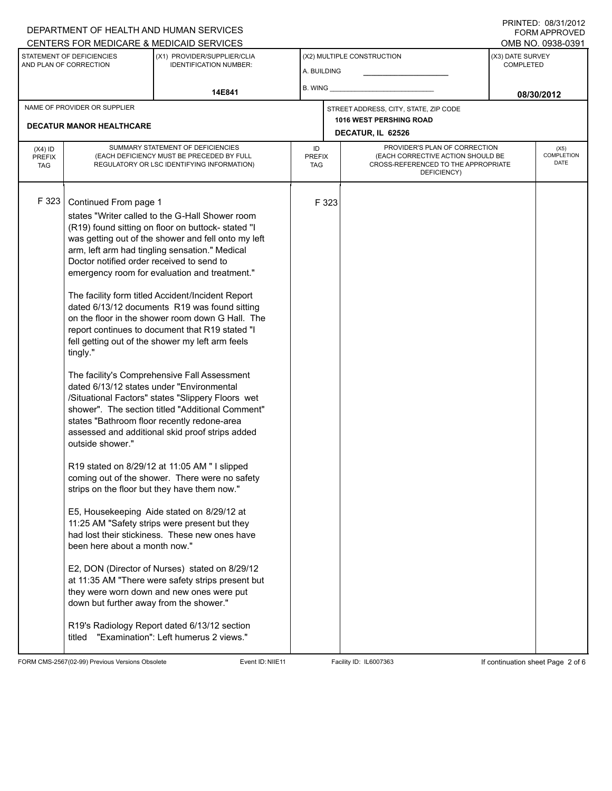# DEPARTMENT OF HEALTH AND HUMAN SERVICES

PRINTED: 08/31/2012 FORM APPROVED

|                                                     |                                                                            | CENTERS FOR MEDICARE & MEDICAID SERVICES                                                                                                                                                                                                                                                                                                                                                                                                                                                                                                                                                                                                                                                                                                                                                                                                                                                                                                                                                                                                                                                                                                                                                                                                                                                                                                                                                                                                                                         |                                   |       |                                                                                                                          |                                      | OMB NO. 0938-0391          |
|-----------------------------------------------------|----------------------------------------------------------------------------|----------------------------------------------------------------------------------------------------------------------------------------------------------------------------------------------------------------------------------------------------------------------------------------------------------------------------------------------------------------------------------------------------------------------------------------------------------------------------------------------------------------------------------------------------------------------------------------------------------------------------------------------------------------------------------------------------------------------------------------------------------------------------------------------------------------------------------------------------------------------------------------------------------------------------------------------------------------------------------------------------------------------------------------------------------------------------------------------------------------------------------------------------------------------------------------------------------------------------------------------------------------------------------------------------------------------------------------------------------------------------------------------------------------------------------------------------------------------------------|-----------------------------------|-------|--------------------------------------------------------------------------------------------------------------------------|--------------------------------------|----------------------------|
| STATEMENT OF DEFICIENCIES<br>AND PLAN OF CORRECTION |                                                                            | (X1) PROVIDER/SUPPLIER/CLIA<br><b>IDENTIFICATION NUMBER:</b>                                                                                                                                                                                                                                                                                                                                                                                                                                                                                                                                                                                                                                                                                                                                                                                                                                                                                                                                                                                                                                                                                                                                                                                                                                                                                                                                                                                                                     | A. BUILDING                       |       | (X2) MULTIPLE CONSTRUCTION                                                                                               | (X3) DATE SURVEY<br><b>COMPLETED</b> |                            |
|                                                     |                                                                            | 14E841                                                                                                                                                                                                                                                                                                                                                                                                                                                                                                                                                                                                                                                                                                                                                                                                                                                                                                                                                                                                                                                                                                                                                                                                                                                                                                                                                                                                                                                                           | B. WING                           |       |                                                                                                                          | 08/30/2012                           |                            |
| NAME OF PROVIDER OR SUPPLIER                        |                                                                            |                                                                                                                                                                                                                                                                                                                                                                                                                                                                                                                                                                                                                                                                                                                                                                                                                                                                                                                                                                                                                                                                                                                                                                                                                                                                                                                                                                                                                                                                                  |                                   |       | STREET ADDRESS, CITY, STATE, ZIP CODE                                                                                    |                                      |                            |
| <b>DECATUR MANOR HEALTHCARE</b>                     |                                                                            |                                                                                                                                                                                                                                                                                                                                                                                                                                                                                                                                                                                                                                                                                                                                                                                                                                                                                                                                                                                                                                                                                                                                                                                                                                                                                                                                                                                                                                                                                  |                                   |       | <b>1016 WEST PERSHING ROAD</b><br>DECATUR, IL 62526                                                                      |                                      |                            |
| $(X4)$ ID<br><b>PREFIX</b><br><b>TAG</b>            |                                                                            | SUMMARY STATEMENT OF DEFICIENCIES<br>(EACH DEFICIENCY MUST BE PRECEDED BY FULL<br>REGULATORY OR LSC IDENTIFYING INFORMATION)                                                                                                                                                                                                                                                                                                                                                                                                                                                                                                                                                                                                                                                                                                                                                                                                                                                                                                                                                                                                                                                                                                                                                                                                                                                                                                                                                     | ID<br><b>PREFIX</b><br><b>TAG</b> |       | PROVIDER'S PLAN OF CORRECTION<br>(EACH CORRECTIVE ACTION SHOULD BE<br>CROSS-REFERENCED TO THE APPROPRIATE<br>DEFICIENCY) |                                      | (X5)<br>COMPLETION<br>DATE |
| F 323<br>tingly."<br>titled                         | Continued From page 1<br>outside shower."<br>been here about a month now." | states "Writer called to the G-Hall Shower room<br>(R19) found sitting on floor on buttock-stated "I<br>was getting out of the shower and fell onto my left<br>arm, left arm had tingling sensation." Medical<br>Doctor notified order received to send to<br>emergency room for evaluation and treatment."<br>The facility form titled Accident/Incident Report<br>dated 6/13/12 documents R19 was found sitting<br>on the floor in the shower room down G Hall. The<br>report continues to document that R19 stated "I<br>fell getting out of the shower my left arm feels<br>The facility's Comprehensive Fall Assessment<br>dated 6/13/12 states under "Environmental<br>/Situational Factors" states "Slippery Floors wet<br>shower". The section titled "Additional Comment"<br>states "Bathroom floor recently redone-area<br>assessed and additional skid proof strips added<br>R19 stated on 8/29/12 at 11:05 AM " I slipped<br>coming out of the shower. There were no safety<br>strips on the floor but they have them now."<br>E5, Housekeeping Aide stated on 8/29/12 at<br>11:25 AM "Safety strips were present but they<br>had lost their stickiness. These new ones have<br>E2, DON (Director of Nurses) stated on 8/29/12<br>at 11:35 AM "There were safety strips present but<br>they were worn down and new ones were put<br>down but further away from the shower."<br>R19's Radiology Report dated 6/13/12 section<br>"Examination": Left humerus 2 views." |                                   | F 323 |                                                                                                                          |                                      |                            |

FORM CMS-2567(02-99) Previous Versions Obsolete Event ID:NIIE11 Facility ID: IL6007363 If continuation sheet Page 2 of 6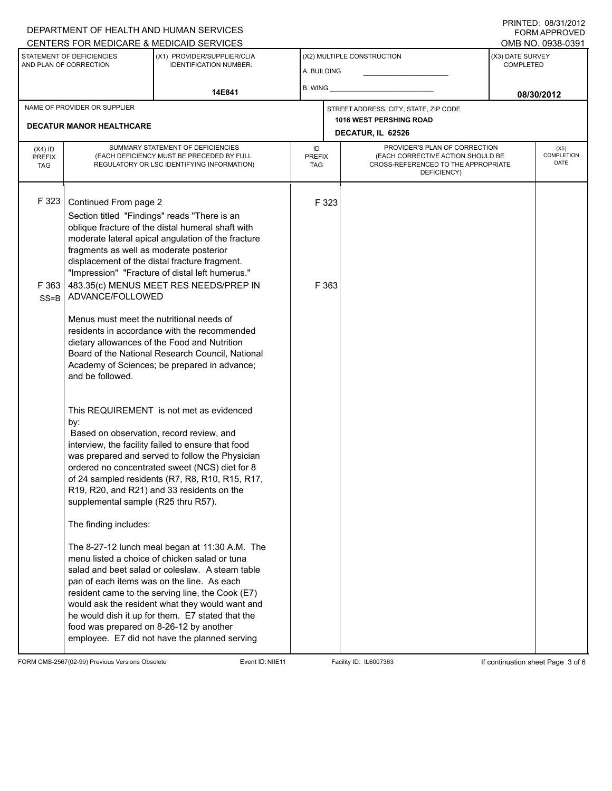### DEPARTMENT OF HEALTH AND HUMAN SERVICES CENTERS FOR MEDICARE & MEDICAID SERVICES

PRINTED: 08/31/2012 FORM APPROVED

|                                                     |                                                                                                                                                      | <u>UENTERS FUR MEDIUARE &amp; MEDIUAID SERVIUES</u>                                                                                                                                                                                                                                                                                                                                                                                                                                                                                                                                                                                                                                                                                                              |                                           |                |                                                                                                                          |                                      | OIMD INO. 0990-099 I              |  |
|-----------------------------------------------------|------------------------------------------------------------------------------------------------------------------------------------------------------|------------------------------------------------------------------------------------------------------------------------------------------------------------------------------------------------------------------------------------------------------------------------------------------------------------------------------------------------------------------------------------------------------------------------------------------------------------------------------------------------------------------------------------------------------------------------------------------------------------------------------------------------------------------------------------------------------------------------------------------------------------------|-------------------------------------------|----------------|--------------------------------------------------------------------------------------------------------------------------|--------------------------------------|-----------------------------------|--|
| STATEMENT OF DEFICIENCIES<br>AND PLAN OF CORRECTION |                                                                                                                                                      | (X1) PROVIDER/SUPPLIER/CLIA<br><b>IDENTIFICATION NUMBER:</b>                                                                                                                                                                                                                                                                                                                                                                                                                                                                                                                                                                                                                                                                                                     | (X2) MULTIPLE CONSTRUCTION<br>A. BUILDING |                |                                                                                                                          | (X3) DATE SURVEY<br><b>COMPLETED</b> |                                   |  |
|                                                     |                                                                                                                                                      | 14E841                                                                                                                                                                                                                                                                                                                                                                                                                                                                                                                                                                                                                                                                                                                                                           | $B.$ WING $\_\_$                          |                |                                                                                                                          | 08/30/2012                           |                                   |  |
|                                                     | NAME OF PROVIDER OR SUPPLIER<br><b>DECATUR MANOR HEALTHCARE</b>                                                                                      |                                                                                                                                                                                                                                                                                                                                                                                                                                                                                                                                                                                                                                                                                                                                                                  |                                           |                | STREET ADDRESS, CITY, STATE, ZIP CODE<br><b>1016 WEST PERSHING ROAD</b><br>DECATUR, IL 62526                             |                                      |                                   |  |
| $(X4)$ ID<br><b>PREFIX</b><br><b>TAG</b>            |                                                                                                                                                      | SUMMARY STATEMENT OF DEFICIENCIES<br>(EACH DEFICIENCY MUST BE PRECEDED BY FULL<br>REGULATORY OR LSC IDENTIFYING INFORMATION)                                                                                                                                                                                                                                                                                                                                                                                                                                                                                                                                                                                                                                     | ID<br><b>PREFIX</b><br><b>TAG</b>         |                | PROVIDER'S PLAN OF CORRECTION<br>(EACH CORRECTIVE ACTION SHOULD BE<br>CROSS-REFERENCED TO THE APPROPRIATE<br>DEFICIENCY) |                                      | (X5)<br><b>COMPLETION</b><br>DATE |  |
| F 323<br>F 363<br>$SS = B$                          | Continued From page 2<br>fragments as well as moderate posterior<br>ADVANCE/FOLLOWED<br>Menus must meet the nutritional needs of<br>and be followed. | Section titled "Findings" reads "There is an<br>oblique fracture of the distal humeral shaft with<br>moderate lateral apical angulation of the fracture<br>displacement of the distal fracture fragment.<br>"Impression" "Fracture of distal left humerus."<br>483.35(c) MENUS MEET RES NEEDS/PREP IN<br>residents in accordance with the recommended<br>dietary allowances of the Food and Nutrition<br>Board of the National Research Council, National<br>Academy of Sciences; be prepared in advance;                                                                                                                                                                                                                                                        |                                           | F 323<br>F 363 |                                                                                                                          |                                      |                                   |  |
|                                                     | by:<br>supplemental sample (R25 thru R57).<br>The finding includes:<br>food was prepared on 8-26-12 by another                                       | This REQUIREMENT is not met as evidenced<br>Based on observation, record review, and<br>interview, the facility failed to ensure that food<br>was prepared and served to follow the Physician<br>ordered no concentrated sweet (NCS) diet for 8<br>of 24 sampled residents (R7, R8, R10, R15, R17,<br>R19, R20, and R21) and 33 residents on the<br>The 8-27-12 lunch meal began at 11:30 A.M. The<br>menu listed a choice of chicken salad or tuna<br>salad and beet salad or coleslaw. A steam table<br>pan of each items was on the line. As each<br>resident came to the serving line, the Cook (E7)<br>would ask the resident what they would want and<br>he would dish it up for them. E7 stated that the<br>employee. E7 did not have the planned serving |                                           |                |                                                                                                                          |                                      |                                   |  |

FORM CMS-2567(02-99) Previous Versions Obsolete Event ID:NIIE11 Facility ID: IL6007363 If continuation sheet Page 3 of 6

-1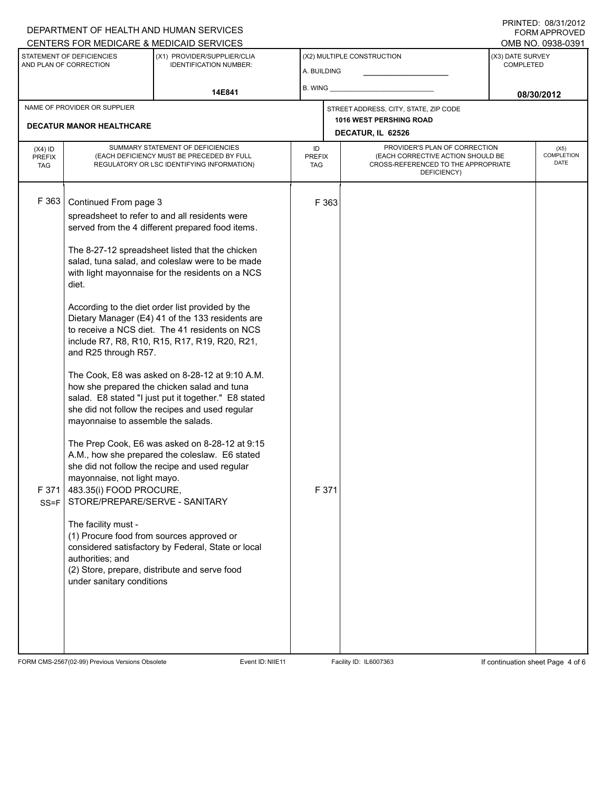# DEPARTMENT OF HEALTH AND HUMAN SERVICES

PRINTED: 08/31/2012 FORM APPROVED

| CENTERS FOR MEDICARE & MEDICAID SERVICES            |                                                                                                                                                                 |                                                                                                                                                                                                          |                                   |       |                                                                                                                          |                                      | OMB NO. 0938-0391 |
|-----------------------------------------------------|-----------------------------------------------------------------------------------------------------------------------------------------------------------------|----------------------------------------------------------------------------------------------------------------------------------------------------------------------------------------------------------|-----------------------------------|-------|--------------------------------------------------------------------------------------------------------------------------|--------------------------------------|-------------------|
| STATEMENT OF DEFICIENCIES<br>AND PLAN OF CORRECTION |                                                                                                                                                                 | (X1) PROVIDER/SUPPLIER/CLIA<br><b>IDENTIFICATION NUMBER:</b>                                                                                                                                             | A. BUILDING                       |       | (X2) MULTIPLE CONSTRUCTION                                                                                               | (X3) DATE SURVEY<br><b>COMPLETED</b> |                   |
|                                                     |                                                                                                                                                                 | 14E841                                                                                                                                                                                                   | B. WING _                         |       |                                                                                                                          | 08/30/2012                           |                   |
|                                                     | NAME OF PROVIDER OR SUPPLIER                                                                                                                                    |                                                                                                                                                                                                          |                                   |       | STREET ADDRESS, CITY, STATE, ZIP CODE                                                                                    |                                      |                   |
| <b>DECATUR MANOR HEALTHCARE</b>                     |                                                                                                                                                                 |                                                                                                                                                                                                          |                                   |       | 1016 WEST PERSHING ROAD<br>DECATUR, IL 62526                                                                             |                                      |                   |
|                                                     |                                                                                                                                                                 |                                                                                                                                                                                                          |                                   |       |                                                                                                                          |                                      | (X5)              |
| $(X4)$ ID<br><b>PREFIX</b><br><b>TAG</b>            | SUMMARY STATEMENT OF DEFICIENCIES<br>(EACH DEFICIENCY MUST BE PRECEDED BY FULL<br>REGULATORY OR LSC IDENTIFYING INFORMATION)                                    |                                                                                                                                                                                                          | ID<br><b>PREFIX</b><br><b>TAG</b> |       | PROVIDER'S PLAN OF CORRECTION<br>(EACH CORRECTIVE ACTION SHOULD BE<br>CROSS-REFERENCED TO THE APPROPRIATE<br>DEFICIENCY) | <b>COMPLETION</b>                    |                   |
| F 363                                               | Continued From page 3                                                                                                                                           |                                                                                                                                                                                                          |                                   | F 363 |                                                                                                                          |                                      |                   |
|                                                     |                                                                                                                                                                 | spreadsheet to refer to and all residents were                                                                                                                                                           |                                   |       |                                                                                                                          |                                      |                   |
|                                                     |                                                                                                                                                                 | served from the 4 different prepared food items.                                                                                                                                                         |                                   |       |                                                                                                                          |                                      |                   |
|                                                     | The 8-27-12 spreadsheet listed that the chicken<br>salad, tuna salad, and coleslaw were to be made<br>with light mayonnaise for the residents on a NCS<br>diet. |                                                                                                                                                                                                          |                                   |       |                                                                                                                          |                                      |                   |
|                                                     | and R25 through R57.                                                                                                                                            | According to the diet order list provided by the<br>Dietary Manager (E4) 41 of the 133 residents are<br>to receive a NCS diet. The 41 residents on NCS<br>include R7, R8, R10, R15, R17, R19, R20, R21,  |                                   |       |                                                                                                                          |                                      |                   |
|                                                     | mayonnaise to assemble the salads.                                                                                                                              | The Cook, E8 was asked on 8-28-12 at 9:10 A.M.<br>how she prepared the chicken salad and tuna<br>salad. E8 stated "I just put it together." E8 stated<br>she did not follow the recipes and used regular |                                   |       |                                                                                                                          |                                      |                   |
| F 371<br>$SS = F$                                   | mayonnaise, not light mayo.<br>483.35(i) FOOD PROCURE,<br>STORE/PREPARE/SERVE - SANITARY                                                                        | The Prep Cook, E6 was asked on 8-28-12 at 9:15<br>A.M., how she prepared the coleslaw. E6 stated<br>she did not follow the recipe and used regular                                                       |                                   | F 371 |                                                                                                                          |                                      |                   |
|                                                     | The facility must -<br>authorities; and<br>under sanitary conditions                                                                                            | (1) Procure food from sources approved or<br>considered satisfactory by Federal, State or local<br>(2) Store, prepare, distribute and serve food                                                         |                                   |       |                                                                                                                          |                                      |                   |
|                                                     |                                                                                                                                                                 |                                                                                                                                                                                                          |                                   |       |                                                                                                                          |                                      |                   |

FORM CMS-2567(02-99) Previous Versions Obsolete Event ID:NIIE11 Facility ID: IL6007363 If continuation sheet Page 4 of 6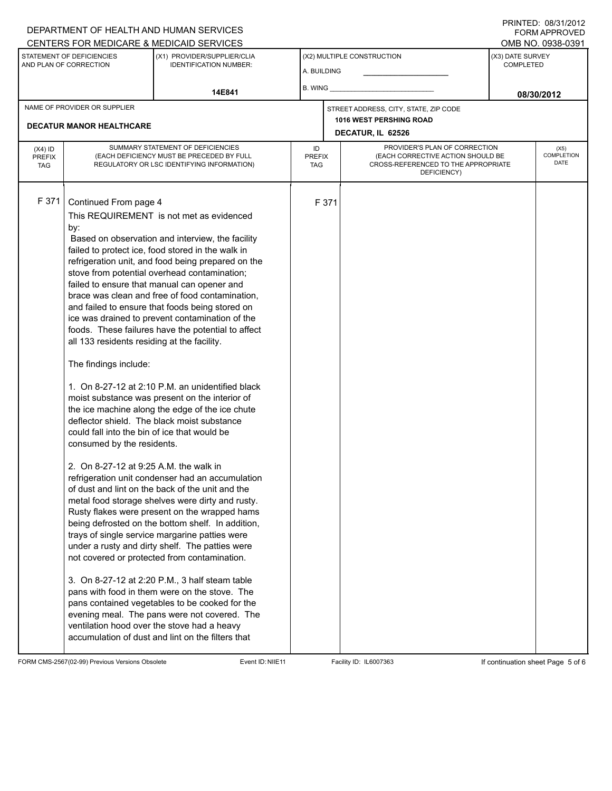### DEPARTMENT OF HEALTH AND HUMAN SERVICES CENTERS FOR MEDICARE & MEDICAID SERVICES

PRINTED: 08/31/2012 FORM APPROVED

|                                                     |                                                                                                                                                                                                                              | CENTERS FOR MEDICARE & MEDICAID SERVICES                                                                                                                                                                                                                                                                                                                                                                                                                                                                                                                                                                                                                                                                                                                                                                                                                                                                                                                                                                                                                                                                                                                                                                                                                                                                                                                                                                                                                      |                                   |                         |                                                                                                                          |                                      | OMB NO. 0938-0391                        |  |  |
|-----------------------------------------------------|------------------------------------------------------------------------------------------------------------------------------------------------------------------------------------------------------------------------------|---------------------------------------------------------------------------------------------------------------------------------------------------------------------------------------------------------------------------------------------------------------------------------------------------------------------------------------------------------------------------------------------------------------------------------------------------------------------------------------------------------------------------------------------------------------------------------------------------------------------------------------------------------------------------------------------------------------------------------------------------------------------------------------------------------------------------------------------------------------------------------------------------------------------------------------------------------------------------------------------------------------------------------------------------------------------------------------------------------------------------------------------------------------------------------------------------------------------------------------------------------------------------------------------------------------------------------------------------------------------------------------------------------------------------------------------------------------|-----------------------------------|-------------------------|--------------------------------------------------------------------------------------------------------------------------|--------------------------------------|------------------------------------------|--|--|
| STATEMENT OF DEFICIENCIES<br>AND PLAN OF CORRECTION |                                                                                                                                                                                                                              | (X1) PROVIDER/SUPPLIER/CLIA<br><b>IDENTIFICATION NUMBER:</b>                                                                                                                                                                                                                                                                                                                                                                                                                                                                                                                                                                                                                                                                                                                                                                                                                                                                                                                                                                                                                                                                                                                                                                                                                                                                                                                                                                                                  | A. BUILDING                       |                         | (X2) MULTIPLE CONSTRUCTION                                                                                               | (X3) DATE SURVEY<br><b>COMPLETED</b> |                                          |  |  |
|                                                     |                                                                                                                                                                                                                              | 14E841                                                                                                                                                                                                                                                                                                                                                                                                                                                                                                                                                                                                                                                                                                                                                                                                                                                                                                                                                                                                                                                                                                                                                                                                                                                                                                                                                                                                                                                        |                                   |                         |                                                                                                                          | 08/30/2012                           |                                          |  |  |
|                                                     | NAME OF PROVIDER OR SUPPLIER                                                                                                                                                                                                 |                                                                                                                                                                                                                                                                                                                                                                                                                                                                                                                                                                                                                                                                                                                                                                                                                                                                                                                                                                                                                                                                                                                                                                                                                                                                                                                                                                                                                                                               |                                   |                         | STREET ADDRESS, CITY, STATE, ZIP CODE                                                                                    |                                      |                                          |  |  |
|                                                     | <b>DECATUR MANOR HEALTHCARE</b>                                                                                                                                                                                              |                                                                                                                                                                                                                                                                                                                                                                                                                                                                                                                                                                                                                                                                                                                                                                                                                                                                                                                                                                                                                                                                                                                                                                                                                                                                                                                                                                                                                                                               |                                   | 1016 WEST PERSHING ROAD |                                                                                                                          |                                      |                                          |  |  |
|                                                     |                                                                                                                                                                                                                              |                                                                                                                                                                                                                                                                                                                                                                                                                                                                                                                                                                                                                                                                                                                                                                                                                                                                                                                                                                                                                                                                                                                                                                                                                                                                                                                                                                                                                                                               |                                   |                         | DECATUR, IL 62526                                                                                                        |                                      |                                          |  |  |
| $(X4)$ ID<br><b>PREFIX</b><br><b>TAG</b>            |                                                                                                                                                                                                                              | SUMMARY STATEMENT OF DEFICIENCIES<br>(EACH DEFICIENCY MUST BE PRECEDED BY FULL<br>REGULATORY OR LSC IDENTIFYING INFORMATION)                                                                                                                                                                                                                                                                                                                                                                                                                                                                                                                                                                                                                                                                                                                                                                                                                                                                                                                                                                                                                                                                                                                                                                                                                                                                                                                                  | ID<br><b>PREFIX</b><br><b>TAG</b> |                         | PROVIDER'S PLAN OF CORRECTION<br>(EACH CORRECTIVE ACTION SHOULD BE<br>CROSS-REFERENCED TO THE APPROPRIATE<br>DEFICIENCY) |                                      | (X5)<br><b>COMPLETION</b><br><b>DATE</b> |  |  |
| F 371                                               | Continued From page 4<br>by:<br>all 133 residents residing at the facility.<br>The findings include:<br>could fall into the bin of ice that would be<br>consumed by the residents.<br>2. On 8-27-12 at 9:25 A.M. the walk in | This REQUIREMENT is not met as evidenced<br>Based on observation and interview, the facility<br>failed to protect ice, food stored in the walk in<br>refrigeration unit, and food being prepared on the<br>stove from potential overhead contamination;<br>failed to ensure that manual can opener and<br>brace was clean and free of food contamination,<br>and failed to ensure that foods being stored on<br>ice was drained to prevent contamination of the<br>foods. These failures have the potential to affect<br>1. On 8-27-12 at 2:10 P.M. an unidentified black<br>moist substance was present on the interior of<br>the ice machine along the edge of the ice chute<br>deflector shield. The black moist substance<br>refrigeration unit condenser had an accumulation<br>of dust and lint on the back of the unit and the<br>metal food storage shelves were dirty and rusty.<br>Rusty flakes were present on the wrapped hams<br>being defrosted on the bottom shelf. In addition,<br>trays of single service margarine patties were<br>under a rusty and dirty shelf. The patties were<br>not covered or protected from contamination.<br>3. On 8-27-12 at 2:20 P.M., 3 half steam table<br>pans with food in them were on the stove. The<br>pans contained vegetables to be cooked for the<br>evening meal. The pans were not covered. The<br>ventilation hood over the stove had a heavy<br>accumulation of dust and lint on the filters that |                                   | F 371                   |                                                                                                                          |                                      |                                          |  |  |

FORM CMS-2567(02-99) Previous Versions Obsolete Event ID:NIIE11 Facility ID: IL6007363 If continuation sheet Page 5 of 6